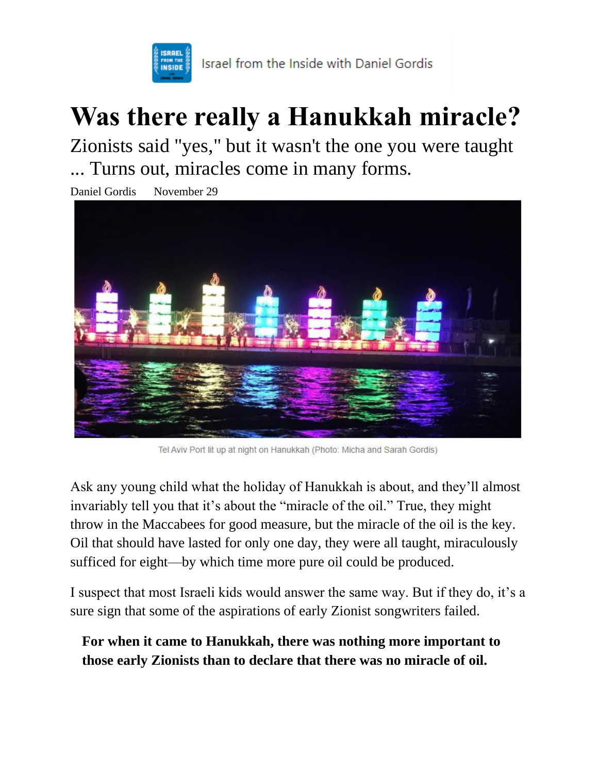

## **Was there really a Hanukkah miracle?**

Zionists said "yes," but it wasn't the one you were taught ... Turns out, miracles come in many forms.

Daniel Gordis November 29



Tel Aviv Port lit up at night on Hanukkah (Photo: Micha and Sarah Gordis)

Ask any young child what the holiday of Hanukkah is about, and they'll almost invariably tell you that it's about the "miracle of the oil." True, they might throw in the Maccabees for good measure, but the miracle of the oil is the key. Oil that should have lasted for only one day, they were all taught, miraculously sufficed for eight—by which time more pure oil could be produced.

I suspect that most Israeli kids would answer the same way. But if they do, it's a sure sign that some of the aspirations of early Zionist songwriters failed.

**For when it came to Hanukkah, there was nothing more important to those early Zionists than to declare that there was no miracle of oil.**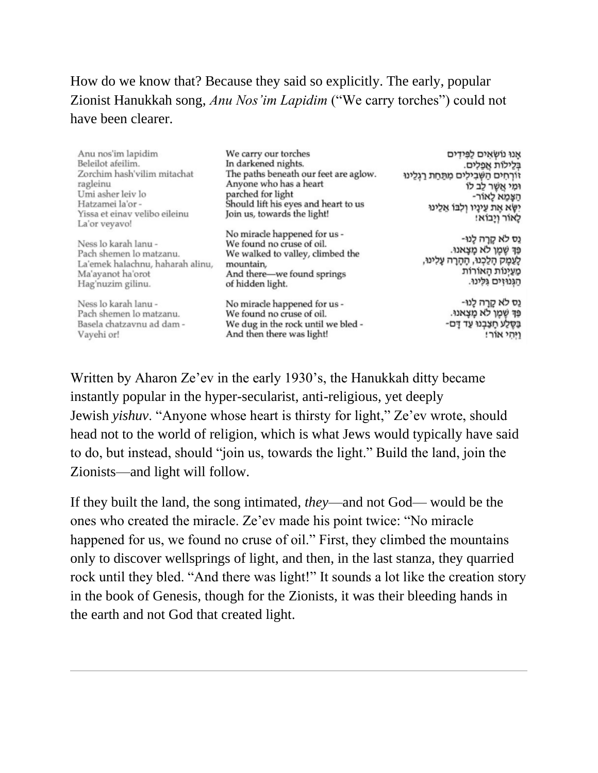How do we know that? Because they said so explicitly. The early, popular Zionist Hanukkah song, *Anu Nos'im Lapidim* ("We carry torches") could not have been clearer.

| Anu nos'im lapidim                                                                                                                 | We carry our torches                                                                                                                                         | אַנוּ נוּשׂאַים לַפִּידִים                                                                                                           |
|------------------------------------------------------------------------------------------------------------------------------------|--------------------------------------------------------------------------------------------------------------------------------------------------------------|--------------------------------------------------------------------------------------------------------------------------------------|
| Beleilot afeilim.                                                                                                                  | In darkened nights.                                                                                                                                          | בְּלֵילוֹת אַפְלִים.                                                                                                                 |
| Zorchim hash'vilim mitachat<br>ragleinu<br>Umi asher leiv lo<br>Hatzamei la'or -<br>Yissa et einav velibo eileinu<br>La'or veyavo! | The paths beneath our feet are aglow.<br>Anyone who has a heart<br>parched for light<br>Should lift his eyes and heart to us<br>Join us, towards the light!  | זורחים השבילים מתחת רגלינו<br>וּמִי אֲשֶׁר לֵב לוֹ<br>-הצמא לאור<br>יְשָׂא אֶת עֵינַיו וְלְבּוֹ אֲלֵינוּ<br>לאור ויבוא!              |
| Ness lo karah lanu -<br>Pach shemen lo matzanu.<br>La'emek halachnu, haharah alinu,<br>Ma'ayanot ha'orot<br>Hag'nuzim gilinu.      | No miracle happened for us -<br>We found no cruse of oil.<br>We walked to valley, climbed the<br>mountain,<br>And there-we found springs<br>of hidden light. | נֵס לֹא קֵרַה לֻנוּ-<br>פַּךְ שֶׁמֶן לֹא מָצָאנוּ.<br>לַעֲמֶק הָלַכְנוּ, הָהָרָה עָלִינוּ,<br>מַעַיְנוֹת הָאוֹרוֹת<br>הגנוזים גלינו. |
| Ness lo karah lanu -<br>Pach shemen lo matzanu.<br>Basela chatzavnu ad dam -<br>Vayehi or!                                         | No miracle happened for us -<br>We found no cruse of oil.<br>We dug in the rock until we bled -<br>And then there was light!                                 | נֵס לֹא קֵרַה לֻנוּ-<br>פַּךְ שֶׁמֶן לֹא מָצָאנוּ.<br>בַּסֶּלֵע חָצַבְנוּ עַד דָם-<br>וַיְּהִי אוֹר!                                 |

Written by Aharon Ze'ev in the early 1930's, the Hanukkah ditty became instantly popular in the hyper-secularist, anti-religious, yet deeply Jewish *yishuv*. "Anyone whose heart is thirsty for light," Ze'ev wrote, should head not to the world of religion, which is what Jews would typically have said to do, but instead, should "join us, towards the light." Build the land, join the Zionists—and light will follow.

If they built the land, the song intimated, *they*—and not God— would be the ones who created the miracle. Ze'ev made his point twice: "No miracle happened for us, we found no cruse of oil." First, they climbed the mountains only to discover wellsprings of light, and then, in the last stanza, they quarried rock until they bled. "And there was light!" It sounds a lot like the creation story in the book of Genesis, though for the Zionists, it was their bleeding hands in the earth and not God that created light.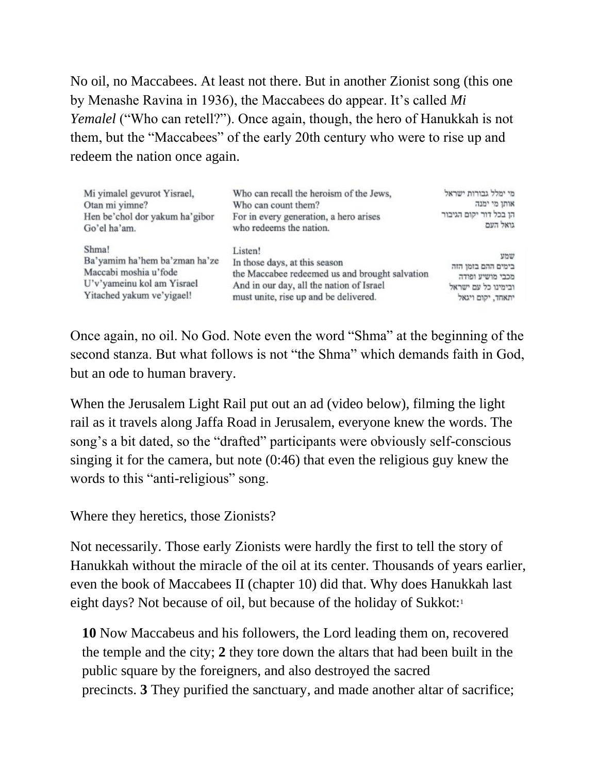No oil, no Maccabees. At least not there. But in another Zionist song (this one by Menashe Ravina in 1936), the Maccabees do appear. It's called *Mi Yemalel* ("Who can retell?"). Once again, though, the hero of Hanukkah is not them, but the "Maccabees" of the early 20th century who were to rise up and redeem the nation once again.

| Mi yimalel gevurot Yisrael,    | Who can recall the heroism of the Jews,        | מי ימלל גבורות ישראל   |
|--------------------------------|------------------------------------------------|------------------------|
| Otan mi yimne?                 | Who can count them?                            | אותן מי ימנה           |
| Hen be'chol dor yakum ha'gibor | For in every generation, a hero arises         | הן בכל דור יקום הגיבור |
| Go'el ha'am.                   | who redeems the nation.                        | גואל העם               |
| Shma!                          | Listen!                                        | שמע                    |
| Ba'yamim ha'hem ba'zman ha'ze  | In those days, at this season                  | בימים ההם בזמן הזה     |
| Maccabi moshia u'fode          | the Maccabee redeemed us and brought salvation | מכבי מושיע ופודה       |
| U'v'yameinu kol am Yisrael     | And in our day, all the nation of Israel       | ובימינו כל עם ישראל    |
| Yitached yakum ve'yigael!      | must unite, rise up and be delivered.          | יתאחד, יקום ויגאל      |

Once again, no oil. No God. Note even the word "Shma" at the beginning of the second stanza. But what follows is not "the Shma" which demands faith in God, but an ode to human bravery.

When the Jerusalem Light Rail put out an ad (video below), filming the light rail as it travels along Jaffa Road in Jerusalem, everyone knew the words. The song's a bit dated, so the "drafted" participants were obviously self-conscious singing it for the camera, but note (0:46) that even the religious guy knew the words to this "anti-religious" song.

Where they heretics, those Zionists?

Not necessarily. Those early Zionists were hardly the first to tell the story of Hanukkah without the miracle of the oil at its center. Thousands of years earlier, even the book of Maccabees II (chapter 10) did that. Why does Hanukkah last eight days? Not because of oil, but because of the holiday of Sukkot[:](https://danielgordis.substack.com/p/was-there-really-a-hanukkah-miracle?token=eyJ1c2VyX2lkIjoxNzA3ODMxOCwicG9zdF9pZCI6NDQ2NzYyOTYsIl8iOiJOWGlMeSIsImlhdCI6MTYzODMyNjg2MCwiZXhwIjoxNjM4MzMwNDYwLCJpc3MiOiJwdWItMjk2MzA3Iiwic3ViIjoicG9zdC1yZWFjdGlvbiJ9.IOXbqXL8YjESUaMtHYRa4lO0B8z9sv8wJZH2TmlwYe8#footnote-1)<sup>1</sup>

**10** Now Maccabeus and his followers, the Lord leading them on, recovered the temple and the city; **2** they tore down the altars that had been built in the public square by the foreigners, and also destroyed the sacred precincts. **3** They purified the sanctuary, and made another altar of sacrifice;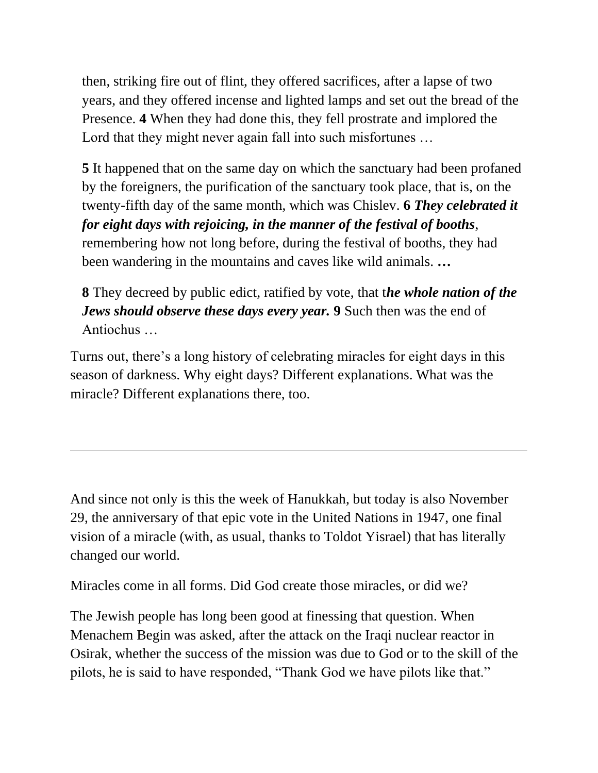then, striking fire out of flint, they offered sacrifices, after a lapse of two years, and they offered incense and lighted lamps and set out the bread of the Presence. **4** When they had done this, they fell prostrate and implored the Lord that they might never again fall into such misfortunes ...

**5** It happened that on the same day on which the sanctuary had been profaned by the foreigners, the purification of the sanctuary took place, that is, on the twenty-fifth day of the same month, which was Chislev. **6** *They celebrated it for eight days with rejoicing, in the manner of the festival of booths*, remembering how not long before, during the festival of booths, they had been wandering in the mountains and caves like wild animals. **…**

**8** They decreed by public edict, ratified by vote, that t*he whole nation of the Jews should observe these days every year.* **9** Such then was the end of Antiochus …

Turns out, there's a long history of celebrating miracles for eight days in this season of darkness. Why eight days? Different explanations. What was the miracle? Different explanations there, too.

And since not only is this the week of Hanukkah, but today is also November 29, the anniversary of that epic vote in the United Nations in 1947, one final vision of a miracle (with, as usual, [thanks to Toldot Yisrael\)](https://www.toldotyisrael.org/en/) that has literally changed our world.

Miracles come in all forms. Did God create those miracles, or did we?

The Jewish people has long been good at finessing that question. When Menachem Begin was asked, after the attack on the Iraqi nuclear reactor in Osirak, whether the success of the mission was due to God or to the skill of the pilots, he is said to have responded, "Thank God we have pilots like that."